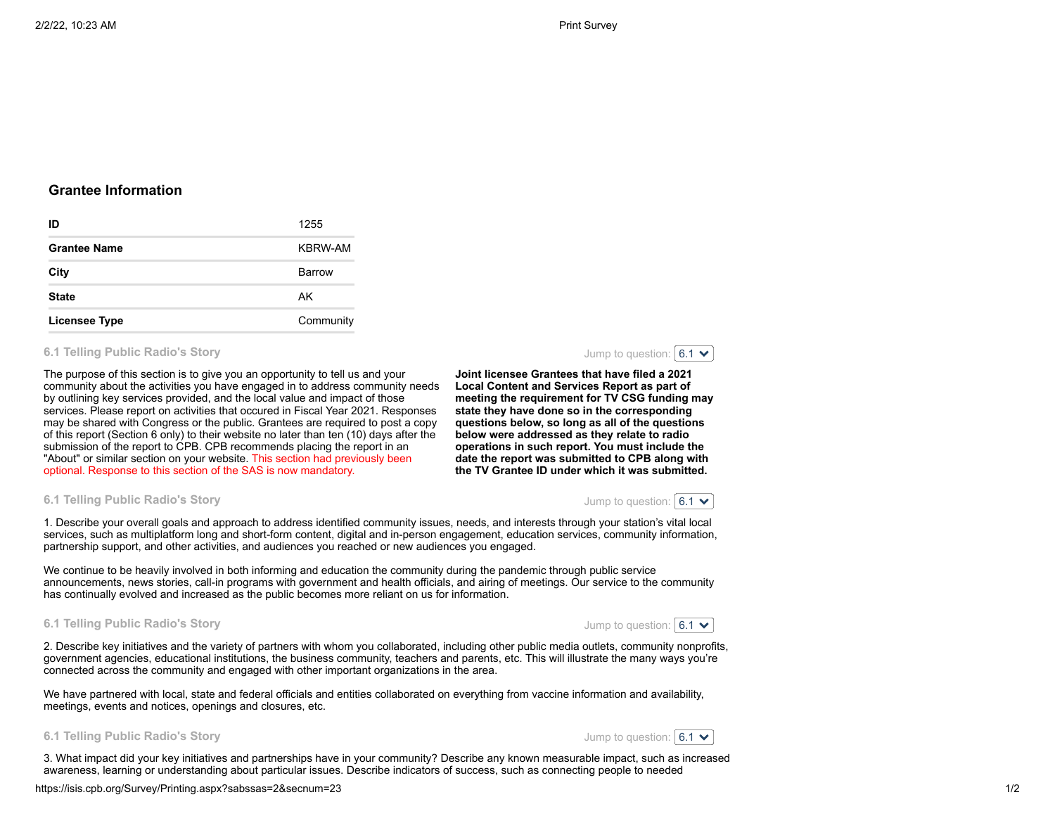# **Grantee Information**

| ID                  | 1255      |
|---------------------|-----------|
| <b>Grantee Name</b> | KBRW-AM   |
| City                | Barrow    |
| <b>State</b>        | AK        |
| Licensee Type       | Community |

## **6.1 Telling Public Radio's Story**

The purpose of this section is to give you an opportunity to tell us and your community about the activities you have engaged in to address community needs by outlining key services provided, and the local value and impact of those services. Please report on activities that occured in Fiscal Year 2021. Responses may be shared with Congress or the public. Grantees are required to post a copy of this report (Section 6 only) to their website no later than ten (10) days after the submission of the report to CPB. CPB recommends placing the report in an "About" or similar section on your website. This section had previously been optional. Response to this section of the SAS is now mandatory.



**Joint licensee Grantees that have filed a 2021 Local Content and Services Report as part of meeting the requirement for TV CSG funding may state they have done so in the corresponding questions below, so long as all of the questions below were addressed as they relate to radio operations in such report. You must include the date the report was submitted to CPB along with the TV Grantee ID under which it was submitted.**



**6.1 Telling Public Radio's Story**

1. Describe your overall goals and approach to address identified community issues, needs, and interests through your station's vital local services, such as multiplatform long and short-form content, digital and in-person engagement, education services, community information, partnership support, and other activities, and audiences you reached or new audiences you engaged.

We continue to be heavily involved in both informing and education the community during the pandemic through public service announcements, news stories, call-in programs with government and health officials, and airing of meetings. Our service to the community has continually evolved and increased as the public becomes more reliant on us for information.

### **6.1 Telling Public Radio's Story**

Jump to question:  $6.1 \times$ 

2. Describe key initiatives and the variety of partners with whom you collaborated, including other public media outlets, community nonprofits, government agencies, educational institutions, the business community, teachers and parents, etc. This will illustrate the many ways you're connected across the community and engaged with other important organizations in the area.

We have partnered with local, state and federal officials and entities collaborated on everything from vaccine information and availability, meetings, events and notices, openings and closures, etc.





3. What impact did your key initiatives and partnerships have in your community? Describe any known measurable impact, such as increased awareness, learning or understanding about particular issues. Describe indicators of success, such as connecting people to needed

https://isis.cpb.org/Survey/Printing.aspx?sabssas=2&secnum=23 1/2